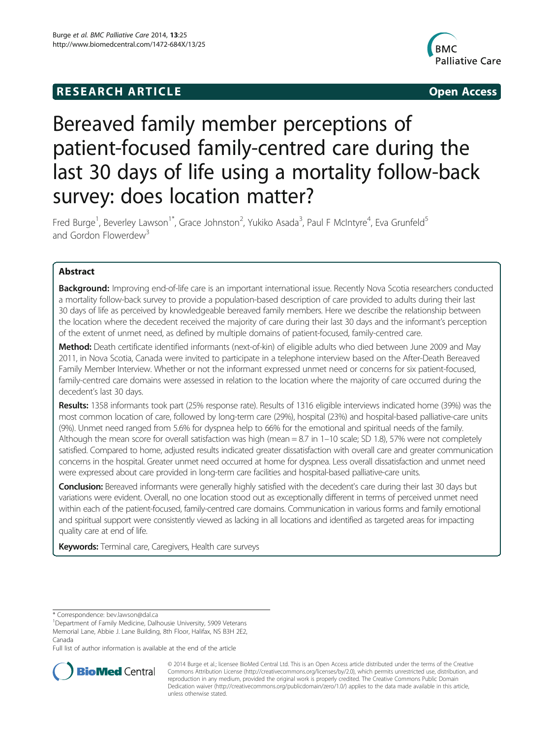# **RESEARCH ARTICLE Example 2018 12:00 Open Access**



# Bereaved family member perceptions of patient-focused family-centred care during the last 30 days of life using a mortality follow-back survey: does location matter?

Fred Burge<sup>1</sup>, Beverley Lawson<sup>1\*</sup>, Grace Johnston<sup>2</sup>, Yukiko Asada<sup>3</sup>, Paul F McIntyre<sup>4</sup>, Eva Grunfeld<sup>5</sup> and Gordon Flowerdew<sup>3</sup>

# Abstract

Background: Improving end-of-life care is an important international issue. Recently Nova Scotia researchers conducted a mortality follow-back survey to provide a population-based description of care provided to adults during their last 30 days of life as perceived by knowledgeable bereaved family members. Here we describe the relationship between the location where the decedent received the majority of care during their last 30 days and the informant's perception of the extent of unmet need, as defined by multiple domains of patient-focused, family-centred care.

Method: Death certificate identified informants (next-of-kin) of eligible adults who died between June 2009 and May 2011, in Nova Scotia, Canada were invited to participate in a telephone interview based on the After-Death Bereaved Family Member Interview. Whether or not the informant expressed unmet need or concerns for six patient-focused, family-centred care domains were assessed in relation to the location where the majority of care occurred during the decedent's last 30 days.

Results: 1358 informants took part (25% response rate). Results of 1316 eligible interviews indicated home (39%) was the most common location of care, followed by long-term care (29%), hospital (23%) and hospital-based palliative-care units (9%). Unmet need ranged from 5.6% for dyspnea help to 66% for the emotional and spiritual needs of the family. Although the mean score for overall satisfaction was high (mean = 8.7 in 1–10 scale; SD 1.8), 57% were not completely satisfied. Compared to home, adjusted results indicated greater dissatisfaction with overall care and greater communication concerns in the hospital. Greater unmet need occurred at home for dyspnea. Less overall dissatisfaction and unmet need were expressed about care provided in long-term care facilities and hospital-based palliative-care units.

Conclusion: Bereaved informants were generally highly satisfied with the decedent's care during their last 30 days but variations were evident. Overall, no one location stood out as exceptionally different in terms of perceived unmet need within each of the patient-focused, family-centred care domains. Communication in various forms and family emotional and spiritual support were consistently viewed as lacking in all locations and identified as targeted areas for impacting quality care at end of life.

Keywords: Terminal care, Caregivers, Health care surveys

\* Correspondence: [bev.lawson@dal.ca](mailto:bev.lawson@dal.ca) <sup>1</sup>

Department of Family Medicine, Dalhousie University, 5909 Veterans Memorial Lane, Abbie J. Lane Building, 8th Floor, Halifax, NS B3H 2E2, Canada

Full list of author information is available at the end of the article



© 2014 Burge et al.; licensee BioMed Central Ltd. This is an Open Access article distributed under the terms of the Creative Commons Attribution License [\(http://creativecommons.org/licenses/by/2.0\)](http://creativecommons.org/licenses/by/2.0), which permits unrestricted use, distribution, and reproduction in any medium, provided the original work is properly credited. The Creative Commons Public Domain Dedication waiver [\(http://creativecommons.org/publicdomain/zero/1.0/](http://creativecommons.org/publicdomain/zero/1.0/)) applies to the data made available in this article, unless otherwise stated.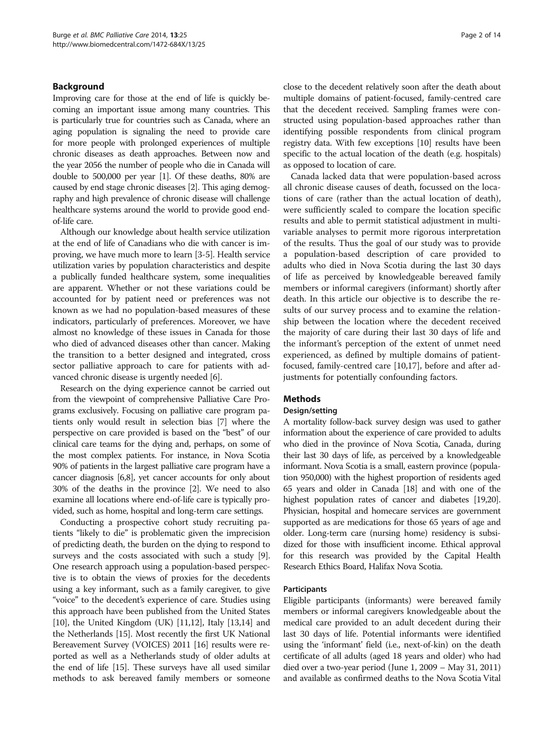#### Background

Improving care for those at the end of life is quickly becoming an important issue among many countries. This is particularly true for countries such as Canada, where an aging population is signaling the need to provide care for more people with prolonged experiences of multiple chronic diseases as death approaches. Between now and the year 2056 the number of people who die in Canada will double to 500,000 per year [\[1\]](#page-12-0). Of these deaths, 80% are caused by end stage chronic diseases [\[2\]](#page-12-0). This aging demography and high prevalence of chronic disease will challenge healthcare systems around the world to provide good endof-life care.

Although our knowledge about health service utilization at the end of life of Canadians who die with cancer is improving, we have much more to learn [[3](#page-12-0)-[5\]](#page-12-0). Health service utilization varies by population characteristics and despite a publically funded healthcare system, some inequalities are apparent. Whether or not these variations could be accounted for by patient need or preferences was not known as we had no population-based measures of these indicators, particularly of preferences. Moreover, we have almost no knowledge of these issues in Canada for those who died of advanced diseases other than cancer. Making the transition to a better designed and integrated, cross sector palliative approach to care for patients with advanced chronic disease is urgently needed [[6\]](#page-12-0).

Research on the dying experience cannot be carried out from the viewpoint of comprehensive Palliative Care Programs exclusively. Focusing on palliative care program patients only would result in selection bias [\[7](#page-12-0)] where the perspective on care provided is based on the "best" of our clinical care teams for the dying and, perhaps, on some of the most complex patients. For instance, in Nova Scotia 90% of patients in the largest palliative care program have a cancer diagnosis [\[6,8](#page-12-0)], yet cancer accounts for only about 30% of the deaths in the province [[2](#page-12-0)]. We need to also examine all locations where end-of-life care is typically provided, such as home, hospital and long-term care settings.

Conducting a prospective cohort study recruiting patients "likely to die" is problematic given the imprecision of predicting death, the burden on the dying to respond to surveys and the costs associated with such a study [[9](#page-12-0)]. One research approach using a population-based perspective is to obtain the views of proxies for the decedents using a key informant, such as a family caregiver, to give "voice" to the decedent's experience of care. Studies using this approach have been published from the United States [[10](#page-12-0)], the United Kingdom (UK) [\[11,12](#page-12-0)], Italy [[13,14\]](#page-12-0) and the Netherlands [[15](#page-12-0)]. Most recently the first UK National Bereavement Survey (VOICES) 2011 [\[16](#page-12-0)] results were reported as well as a Netherlands study of older adults at the end of life [\[15\]](#page-12-0). These surveys have all used similar methods to ask bereaved family members or someone close to the decedent relatively soon after the death about multiple domains of patient-focused, family-centred care that the decedent received. Sampling frames were constructed using population-based approaches rather than identifying possible respondents from clinical program registry data. With few exceptions [\[10](#page-12-0)] results have been specific to the actual location of the death (e.g. hospitals) as opposed to location of care.

Canada lacked data that were population-based across all chronic disease causes of death, focussed on the locations of care (rather than the actual location of death), were sufficiently scaled to compare the location specific results and able to permit statistical adjustment in multivariable analyses to permit more rigorous interpretation of the results. Thus the goal of our study was to provide a population-based description of care provided to adults who died in Nova Scotia during the last 30 days of life as perceived by knowledgeable bereaved family members or informal caregivers (informant) shortly after death. In this article our objective is to describe the results of our survey process and to examine the relationship between the location where the decedent received the majority of care during their last 30 days of life and the informant's perception of the extent of unmet need experienced, as defined by multiple domains of patientfocused, family-centred care [[10](#page-12-0),[17](#page-12-0)], before and after adjustments for potentially confounding factors.

#### **Methods**

#### Design/setting

A mortality follow-back survey design was used to gather information about the experience of care provided to adults who died in the province of Nova Scotia, Canada, during their last 30 days of life, as perceived by a knowledgeable informant. Nova Scotia is a small, eastern province (population 950,000) with the highest proportion of residents aged 65 years and older in Canada [[18\]](#page-12-0) and with one of the highest population rates of cancer and diabetes [[19,20](#page-12-0)]. Physician, hospital and homecare services are government supported as are medications for those 65 years of age and older. Long-term care (nursing home) residency is subsidized for those with insufficient income. Ethical approval for this research was provided by the Capital Health Research Ethics Board, Halifax Nova Scotia.

#### **Participants**

Eligible participants (informants) were bereaved family members or informal caregivers knowledgeable about the medical care provided to an adult decedent during their last 30 days of life. Potential informants were identified using the 'informant' field (i.e., next-of-kin) on the death certificate of all adults (aged 18 years and older) who had died over a two-year period (June 1, 2009 – May 31, 2011) and available as confirmed deaths to the Nova Scotia Vital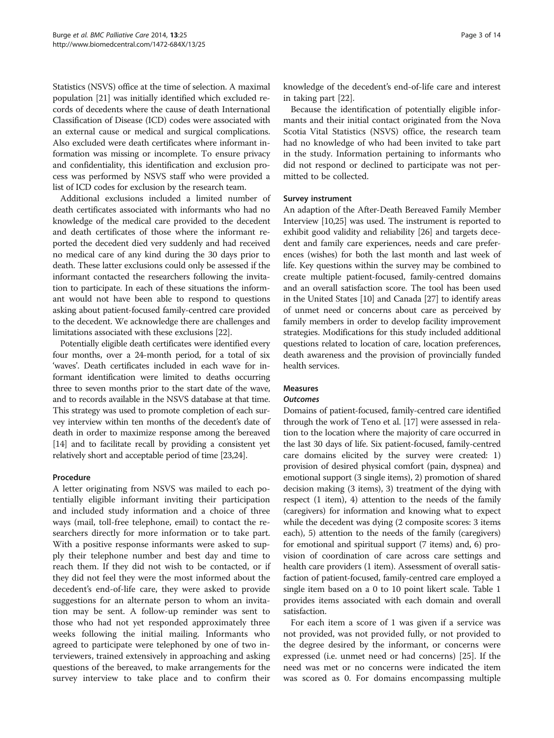Statistics (NSVS) office at the time of selection. A maximal population [\[21\]](#page-12-0) was initially identified which excluded records of decedents where the cause of death International Classification of Disease (ICD) codes were associated with an external cause or medical and surgical complications. Also excluded were death certificates where informant information was missing or incomplete. To ensure privacy and confidentiality, this identification and exclusion process was performed by NSVS staff who were provided a list of ICD codes for exclusion by the research team.

Additional exclusions included a limited number of death certificates associated with informants who had no knowledge of the medical care provided to the decedent and death certificates of those where the informant reported the decedent died very suddenly and had received no medical care of any kind during the 30 days prior to death. These latter exclusions could only be assessed if the informant contacted the researchers following the invitation to participate. In each of these situations the informant would not have been able to respond to questions asking about patient-focused family-centred care provided to the decedent. We acknowledge there are challenges and limitations associated with these exclusions [[22](#page-12-0)].

Potentially eligible death certificates were identified every four months, over a 24-month period, for a total of six 'waves'. Death certificates included in each wave for informant identification were limited to deaths occurring three to seven months prior to the start date of the wave, and to records available in the NSVS database at that time. This strategy was used to promote completion of each survey interview within ten months of the decedent's date of death in order to maximize response among the bereaved [[14](#page-12-0)] and to facilitate recall by providing a consistent yet relatively short and acceptable period of time [\[23,24\]](#page-12-0).

#### Procedure

A letter originating from NSVS was mailed to each potentially eligible informant inviting their participation and included study information and a choice of three ways (mail, toll-free telephone, email) to contact the researchers directly for more information or to take part. With a positive response informants were asked to supply their telephone number and best day and time to reach them. If they did not wish to be contacted, or if they did not feel they were the most informed about the decedent's end-of-life care, they were asked to provide suggestions for an alternate person to whom an invitation may be sent. A follow-up reminder was sent to those who had not yet responded approximately three weeks following the initial mailing. Informants who agreed to participate were telephoned by one of two interviewers, trained extensively in approaching and asking questions of the bereaved, to make arrangements for the survey interview to take place and to confirm their knowledge of the decedent's end-of-life care and interest in taking part [\[22](#page-12-0)].

Because the identification of potentially eligible informants and their initial contact originated from the Nova Scotia Vital Statistics (NSVS) office, the research team had no knowledge of who had been invited to take part in the study. Information pertaining to informants who did not respond or declined to participate was not permitted to be collected.

#### Survey instrument

An adaption of the After-Death Bereaved Family Member Interview [[10,25\]](#page-12-0) was used. The instrument is reported to exhibit good validity and reliability [\[26\]](#page-12-0) and targets decedent and family care experiences, needs and care preferences (wishes) for both the last month and last week of life. Key questions within the survey may be combined to create multiple patient-focused, family-centred domains and an overall satisfaction score. The tool has been used in the United States [\[10\]](#page-12-0) and Canada [\[27\]](#page-12-0) to identify areas of unmet need or concerns about care as perceived by family members in order to develop facility improvement strategies. Modifications for this study included additional questions related to location of care, location preferences, death awareness and the provision of provincially funded health services.

#### Measures

#### **Outcomes**

Domains of patient-focused, family-centred care identified through the work of Teno et al. [\[17\]](#page-12-0) were assessed in relation to the location where the majority of care occurred in the last 30 days of life. Six patient-focused, family-centred care domains elicited by the survey were created: 1) provision of desired physical comfort (pain, dyspnea) and emotional support (3 single items), 2) promotion of shared decision making (3 items), 3) treatment of the dying with respect (1 item), 4) attention to the needs of the family (caregivers) for information and knowing what to expect while the decedent was dying (2 composite scores: 3 items each), 5) attention to the needs of the family (caregivers) for emotional and spiritual support (7 items) and, 6) provision of coordination of care across care settings and health care providers (1 item). Assessment of overall satisfaction of patient-focused, family-centred care employed a single item based on a 0 to 10 point likert scale. Table [1](#page-3-0) provides items associated with each domain and overall satisfaction.

For each item a score of 1 was given if a service was not provided, was not provided fully, or not provided to the degree desired by the informant, or concerns were expressed (i.e. unmet need or had concerns) [\[25\]](#page-12-0). If the need was met or no concerns were indicated the item was scored as 0. For domains encompassing multiple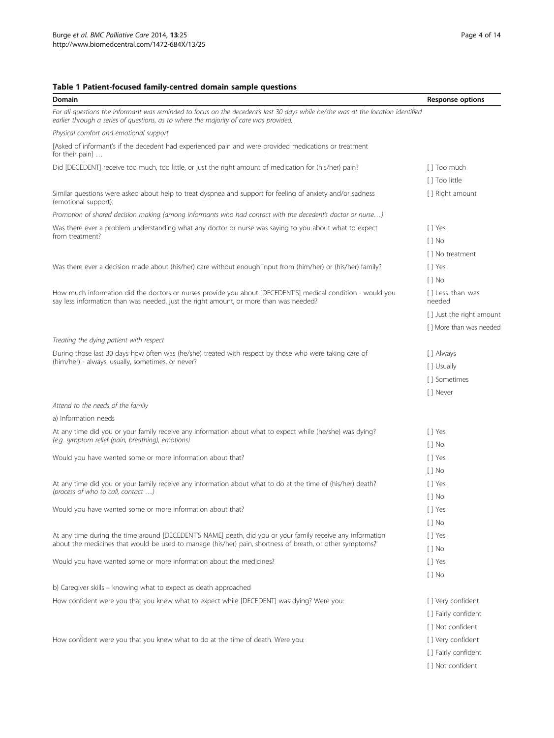# <span id="page-3-0"></span>Table 1 Patient-focused family-centred domain sample questions

| Domain                                                                                                                                                                                                                    | <b>Response options</b>    |
|---------------------------------------------------------------------------------------------------------------------------------------------------------------------------------------------------------------------------|----------------------------|
| For all questions the informant was reminded to focus on the decedent's last 30 days while he/she was at the location identified<br>earlier through a series of questions, as to where the majority of care was provided. |                            |
| Physical comfort and emotional support                                                                                                                                                                                    |                            |
| [Asked of informant's if the decedent had experienced pain and were provided medications or treatment<br>for their pain]                                                                                                  |                            |
| Did [DECEDENT] receive too much, too little, or just the right amount of medication for (his/her) pain?                                                                                                                   | [] Too much                |
|                                                                                                                                                                                                                           | [] Too little              |
| Similar questions were asked about help to treat dyspnea and support for feeling of anxiety and/or sadness<br>(emotional support).                                                                                        | [] Right amount            |
| Promotion of shared decision making (among informants who had contact with the decedent's doctor or nurse)                                                                                                                |                            |
| Was there ever a problem understanding what any doctor or nurse was saying to you about what to expect                                                                                                                    | [] Yes                     |
| from treatment?                                                                                                                                                                                                           | $\lceil \cdot \rceil$ No   |
|                                                                                                                                                                                                                           | [] No treatment            |
| Was there ever a decision made about (his/her) care without enough input from (him/her) or (his/her) family?                                                                                                              | [] Yes                     |
|                                                                                                                                                                                                                           | $[ ]$ No                   |
| How much information did the doctors or nurses provide you about [DECEDENT'S] medical condition - would you<br>say less information than was needed, just the right amount, or more than was needed?                      | [] Less than was<br>needed |
|                                                                                                                                                                                                                           | [] Just the right amount   |
|                                                                                                                                                                                                                           | [] More than was needed    |
| Treating the dying patient with respect                                                                                                                                                                                   |                            |
| During those last 30 days how often was (he/she) treated with respect by those who were taking care of                                                                                                                    | [ ] Always                 |
| (him/her) - always, usually, sometimes, or never?                                                                                                                                                                         | [] Usually                 |
|                                                                                                                                                                                                                           | [] Sometimes               |
|                                                                                                                                                                                                                           | [] Never                   |
| Attend to the needs of the family                                                                                                                                                                                         |                            |
| a) Information needs                                                                                                                                                                                                      |                            |
| At any time did you or your family receive any information about what to expect while (he/she) was dying?                                                                                                                 | [] Yes                     |
| (e.g. symptom relief (pain, breathing), emotions)                                                                                                                                                                         | $[ ]$ No                   |
| Would you have wanted some or more information about that?                                                                                                                                                                | [] Yes                     |
|                                                                                                                                                                                                                           | $[ ]$ No                   |
| At any time did you or your family receive any information about what to do at the time of (his/her) death?                                                                                                               | [ ] Yes                    |
| (process of who to call, contact )                                                                                                                                                                                        | $[ ]$ No                   |
| Would you have wanted some or more information about that?                                                                                                                                                                | [] Yes                     |
|                                                                                                                                                                                                                           | $[ ]$ No                   |
| At any time during the time around [DECEDENT'S NAME] death, did you or your family receive any information                                                                                                                | [] Yes                     |
| about the medicines that would be used to manage (his/her) pain, shortness of breath, or other symptoms?                                                                                                                  | $[ ]$ No                   |
| Would you have wanted some or more information about the medicines?                                                                                                                                                       | $[ ]$ Yes                  |
|                                                                                                                                                                                                                           | $[ ]$ No                   |
| b) Caregiver skills - knowing what to expect as death approached                                                                                                                                                          |                            |
| How confident were you that you knew what to expect while [DECEDENT] was dying? Were you:                                                                                                                                 | [] Very confident          |
|                                                                                                                                                                                                                           | [] Fairly confident        |
|                                                                                                                                                                                                                           | [] Not confident           |
| How confident were you that you knew what to do at the time of death. Were you:                                                                                                                                           | [] Very confident          |
|                                                                                                                                                                                                                           | [] Fairly confident        |
|                                                                                                                                                                                                                           | [] Not confident           |
|                                                                                                                                                                                                                           |                            |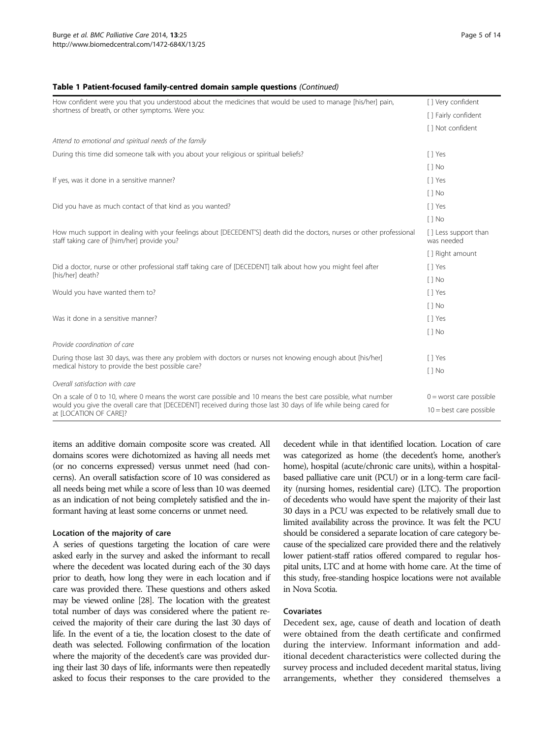#### Table 1 Patient-focused family-centred domain sample questions (Continued)

| How confident were you that you understood about the medicines that would be used to manage [his/her] pain,                                                                                                                                                 | [] Very confident                                      |
|-------------------------------------------------------------------------------------------------------------------------------------------------------------------------------------------------------------------------------------------------------------|--------------------------------------------------------|
| shortness of breath, or other symptoms. Were you:                                                                                                                                                                                                           | [] Fairly confident                                    |
|                                                                                                                                                                                                                                                             | [ ] Not confident                                      |
| Attend to emotional and spiritual needs of the family                                                                                                                                                                                                       |                                                        |
| During this time did someone talk with you about your religious or spiritual beliefs?                                                                                                                                                                       | [ ] Yes                                                |
|                                                                                                                                                                                                                                                             | $\lceil \cdot \rceil$ No                               |
| If yes, was it done in a sensitive manner?                                                                                                                                                                                                                  | [ ] Yes                                                |
|                                                                                                                                                                                                                                                             | $\lceil \cdot \rceil$ No                               |
| Did you have as much contact of that kind as you wanted?                                                                                                                                                                                                    | [ ] Yes                                                |
|                                                                                                                                                                                                                                                             | $\lceil \cdot \rceil$ No                               |
| How much support in dealing with your feelings about [DECEDENT'S] death did the doctors, nurses or other professional<br>staff taking care of [him/her] provide you?                                                                                        | [] Less support than<br>was needed                     |
|                                                                                                                                                                                                                                                             | [] Right amount                                        |
| Did a doctor, nurse or other professional staff taking care of [DECEDENT] talk about how you might feel after                                                                                                                                               | [ ] Yes                                                |
| [his/her] death?                                                                                                                                                                                                                                            | $\lceil \cdot \rceil$ No                               |
| Would you have wanted them to?                                                                                                                                                                                                                              | [] Yes                                                 |
|                                                                                                                                                                                                                                                             | $\lceil \cdot \rceil$ No                               |
| Was it done in a sensitive manner?                                                                                                                                                                                                                          | [ ] Yes                                                |
|                                                                                                                                                                                                                                                             | $\lceil \cdot \rceil$ No                               |
| Provide coordination of care                                                                                                                                                                                                                                |                                                        |
| During those last 30 days, was there any problem with doctors or nurses not knowing enough about [his/her]                                                                                                                                                  | [ ] Yes                                                |
| medical history to provide the best possible care?                                                                                                                                                                                                          | $\lceil \cdot \rceil$ No                               |
| Overall satisfaction with care                                                                                                                                                                                                                              |                                                        |
| On a scale of 0 to 10, where 0 means the worst care possible and 10 means the best care possible, what number<br>would you give the overall care that [DECEDENT] received during those last 30 days of life while being cared for<br>at [LOCATION OF CARE]? | $0 =$ worst care possible<br>$10 = best$ care possible |

items an additive domain composite score was created. All domains scores were dichotomized as having all needs met (or no concerns expressed) versus unmet need (had concerns). An overall satisfaction score of 10 was considered as all needs being met while a score of less than 10 was deemed as an indication of not being completely satisfied and the informant having at least some concerns or unmet need.

#### Location of the majority of care

A series of questions targeting the location of care were asked early in the survey and asked the informant to recall where the decedent was located during each of the 30 days prior to death, how long they were in each location and if care was provided there. These questions and others asked may be viewed online [\[28\]](#page-12-0). The location with the greatest total number of days was considered where the patient received the majority of their care during the last 30 days of life. In the event of a tie, the location closest to the date of death was selected. Following confirmation of the location where the majority of the decedent's care was provided during their last 30 days of life, informants were then repeatedly asked to focus their responses to the care provided to the decedent while in that identified location. Location of care was categorized as home (the decedent's home, another's home), hospital (acute/chronic care units), within a hospitalbased palliative care unit (PCU) or in a long-term care facility (nursing homes, residential care) (LTC). The proportion of decedents who would have spent the majority of their last 30 days in a PCU was expected to be relatively small due to limited availability across the province. It was felt the PCU should be considered a separate location of care category because of the specialized care provided there and the relatively lower patient-staff ratios offered compared to regular hospital units, LTC and at home with home care. At the time of this study, free-standing hospice locations were not available in Nova Scotia.

### Covariates

Decedent sex, age, cause of death and location of death were obtained from the death certificate and confirmed during the interview. Informant information and additional decedent characteristics were collected during the survey process and included decedent marital status, living arrangements, whether they considered themselves a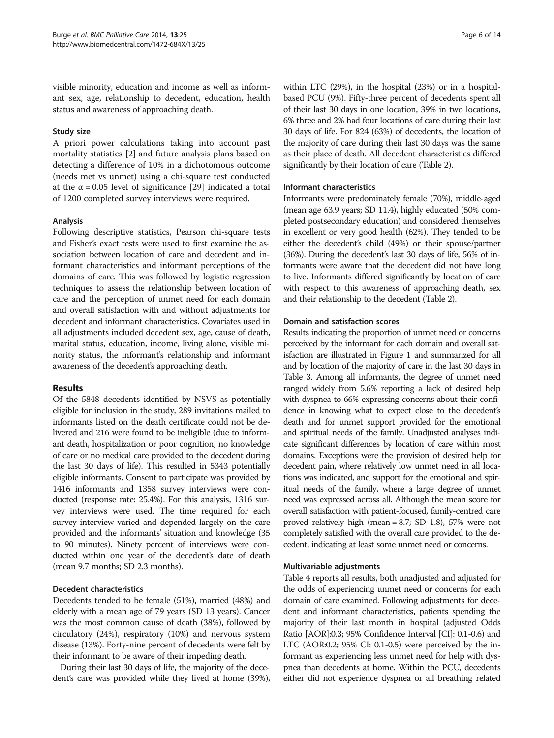visible minority, education and income as well as informant sex, age, relationship to decedent, education, health status and awareness of approaching death.

#### Study size

A priori power calculations taking into account past mortality statistics [[2\]](#page-12-0) and future analysis plans based on detecting a difference of 10% in a dichotomous outcome (needs met vs unmet) using a chi-square test conducted at the  $\alpha$  = 0.05 level of significance [[29\]](#page-12-0) indicated a total of 1200 completed survey interviews were required.

#### Analysis

Following descriptive statistics, Pearson chi-square tests and Fisher's exact tests were used to first examine the association between location of care and decedent and informant characteristics and informant perceptions of the domains of care. This was followed by logistic regression techniques to assess the relationship between location of care and the perception of unmet need for each domain and overall satisfaction with and without adjustments for decedent and informant characteristics. Covariates used in all adjustments included decedent sex, age, cause of death, marital status, education, income, living alone, visible minority status, the informant's relationship and informant awareness of the decedent's approaching death.

#### Results

Of the 5848 decedents identified by NSVS as potentially eligible for inclusion in the study, 289 invitations mailed to informants listed on the death certificate could not be delivered and 216 were found to be ineligible (due to informant death, hospitalization or poor cognition, no knowledge of care or no medical care provided to the decedent during the last 30 days of life). This resulted in 5343 potentially eligible informants. Consent to participate was provided by 1416 informants and 1358 survey interviews were conducted (response rate: 25.4%). For this analysis, 1316 survey interviews were used. The time required for each survey interview varied and depended largely on the care provided and the informants' situation and knowledge (35 to 90 minutes). Ninety percent of interviews were conducted within one year of the decedent's date of death (mean 9.7 months; SD 2.3 months).

#### Decedent characteristics

Decedents tended to be female (51%), married (48%) and elderly with a mean age of 79 years (SD 13 years). Cancer was the most common cause of death (38%), followed by circulatory (24%), respiratory (10%) and nervous system disease (13%). Forty-nine percent of decedents were felt by their informant to be aware of their impeding death.

During their last 30 days of life, the majority of the decedent's care was provided while they lived at home (39%), within LTC (29%), in the hospital (23%) or in a hospitalbased PCU (9%). Fifty-three percent of decedents spent all of their last 30 days in one location, 39% in two locations, 6% three and 2% had four locations of care during their last 30 days of life. For 824 (63%) of decedents, the location of the majority of care during their last 30 days was the same as their place of death. All decedent characteristics differed significantly by their location of care (Table [2](#page-6-0)).

#### Informant characteristics

Informants were predominately female (70%), middle-aged (mean age 63.9 years; SD 11.4), highly educated (50% completed postsecondary education) and considered themselves in excellent or very good health (62%). They tended to be either the decedent's child (49%) or their spouse/partner (36%). During the decedent's last 30 days of life, 56% of informants were aware that the decedent did not have long to live. Informants differed significantly by location of care with respect to this awareness of approaching death, sex and their relationship to the decedent (Table [2](#page-6-0)).

#### Domain and satisfaction scores

Results indicating the proportion of unmet need or concerns perceived by the informant for each domain and overall satisfaction are illustrated in Figure [1](#page-8-0) and summarized for all and by location of the majority of care in the last 30 days in Table [3](#page-8-0). Among all informants, the degree of unmet need ranged widely from 5.6% reporting a lack of desired help with dyspnea to 66% expressing concerns about their confidence in knowing what to expect close to the decedent's death and for unmet support provided for the emotional and spiritual needs of the family. Unadjusted analyses indicate significant differences by location of care within most domains. Exceptions were the provision of desired help for decedent pain, where relatively low unmet need in all locations was indicated, and support for the emotional and spiritual needs of the family, where a large degree of unmet need was expressed across all. Although the mean score for overall satisfaction with patient-focused, family-centred care proved relatively high (mean = 8.7; SD 1.8), 57% were not completely satisfied with the overall care provided to the decedent, indicating at least some unmet need or concerns.

#### Multivariable adjustments

Table [4](#page-9-0) reports all results, both unadjusted and adjusted for the odds of experiencing unmet need or concerns for each domain of care examined. Following adjustments for decedent and informant characteristics, patients spending the majority of their last month in hospital (adjusted Odds Ratio [AOR]:0.3; 95% Confidence Interval [CI]: 0.1-0.6) and LTC (AOR:0.2; 95% CI: 0.1-0.5) were perceived by the informant as experiencing less unmet need for help with dyspnea than decedents at home. Within the PCU, decedents either did not experience dyspnea or all breathing related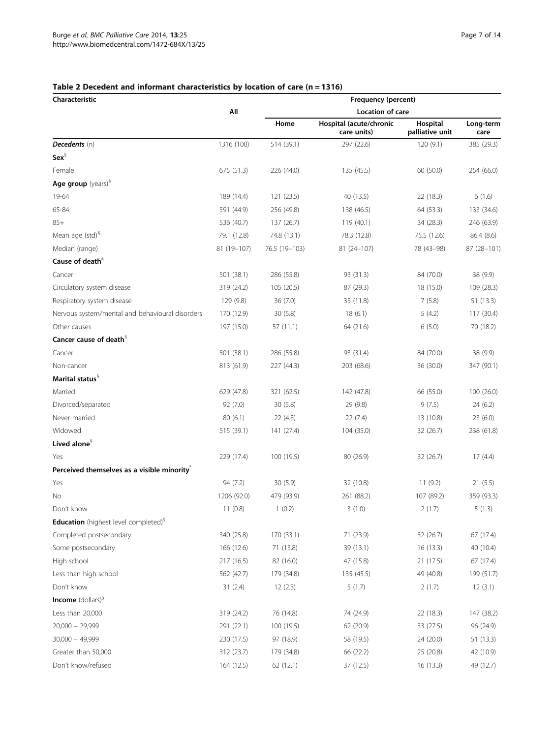## <span id="page-6-0"></span>Table 2 Decedent and informant characteristics by location of care (n = 1316)

| Characteristic                                   |             | Frequency (percent) |                                        |                             |                   |  |
|--------------------------------------------------|-------------|---------------------|----------------------------------------|-----------------------------|-------------------|--|
|                                                  | Αll         | Location of care    |                                        |                             |                   |  |
|                                                  |             | Home                | Hospital (acute/chronic<br>care units) | Hospital<br>palliative unit | Long-term<br>care |  |
| Decedents (n)                                    | 1316 (100)  | 514 (39.1)          | 297 (22.6)                             | 120 (9.1)                   | 385 (29.3)        |  |
| $Sex^{\S}$                                       |             |                     |                                        |                             |                   |  |
| Female                                           | 675 (51.3)  | 226 (44.0)          | 135 (45.5)                             | 60 (50.0)                   | 254 (66.0)        |  |
| Age group (years) <sup>§</sup>                   |             |                     |                                        |                             |                   |  |
| 19-64                                            | 189 (14.4)  | 121(23.5)           | 40 (13.5)                              | 22 (18.3)                   | 6(1.6)            |  |
| 65-84                                            | 591 (44.9)  | 256 (49.8)          | 138 (46.5)                             | 64 (53.3)                   | 133 (34.6)        |  |
| $85+$                                            | 536 (40.7)  | 137 (26.7)          | 119(40.1)                              | 34 (28.3)                   | 246 (63.9)        |  |
| Mean age (std) <sup>§</sup>                      | 79.1 (12.8) | 74.8 (13.1)         | 78.3 (12.8)                            | 75.5 (12.6)                 | 86.4 (8.6)        |  |
| Median (range)                                   | 81 (19-107) | 76.5 (19-103)       | 81 (24-107)                            | 78 (43-98)                  | 87 (28-101)       |  |
| Cause of death <sup>§</sup>                      |             |                     |                                        |                             |                   |  |
| Cancer                                           | 501 (38.1)  | 286 (55.8)          | 93 (31.3)                              | 84 (70.0)                   | 38(9.9)           |  |
| Circulatory system disease                       | 319 (24.2)  | 105 (20.5)          | 87 (29.3)                              | 18 (15.0)                   | 109 (28.3)        |  |
| Respiratory system disease                       | 129 (9.8)   | 36 (7.0)            | 35 (11.8)                              | 7(5.8)                      | 51(13.3)          |  |
| Nervous system/mental and behavioural disorders  | 170 (12.9)  | 30(5.8)             | 18(6.1)                                | 5(4.2)                      | 117 (30.4)        |  |
| Other causes                                     | 197 (15.0)  | 57 (11.1)           | 64 (21.6)                              | 6(5.0)                      | 70 (18.2)         |  |
| Cancer cause of death <sup>§</sup>               |             |                     |                                        |                             |                   |  |
| Cancer                                           | 501 (38.1)  | 286 (55.8)          | 93 (31.4)                              | 84 (70.0)                   | 38 (9.9)          |  |
| Non-cancer                                       | 813 (61.9)  | 227 (44.3)          | 203 (68.6)                             | 36 (30.0)                   | 347 (90.1)        |  |
| Marital status <sup>§</sup>                      |             |                     |                                        |                             |                   |  |
| Married                                          | 629 (47.8)  | 321 (62.5)          | 142 (47.8)                             | 66 (55.0)                   | 100(26.0)         |  |
| Divorced/separated                               | 92 (7.0)    | 30(5.8)             | 29 (9.8)                               | 9(7.5)                      | 24(6.2)           |  |
| Never married                                    | 80(6.1)     | 22(4.3)             | 22(7.4)                                | 13 (10.8)                   | 23(6.0)           |  |
| Widowed                                          | 515 (39.1)  | 141 (27.4)          | 104 (35.0)                             | 32 (26.7)                   | 238 (61.8)        |  |
| Lived alone <sup>§</sup>                         |             |                     |                                        |                             |                   |  |
| Yes                                              | 229 (17.4)  | 100 (19.5)          | 80 (26.9)                              | 32 (26.7)                   | 17(4.4)           |  |
| Perceived themselves as a visible minority       |             |                     |                                        |                             |                   |  |
| Yes                                              | 94 (7.2)    | 30(5.9)             | 32 (10.8)                              | 11(9.2)                     | 21(5.5)           |  |
| No                                               | 1206 (92.0) | 479 (93.9)          | 261 (88.2)                             | 107 (89.2)                  | 359 (93.3)        |  |
| Don't know                                       | 11(0.8)     | 1(0.2)              | 3(1.0)                                 | 2(1.7)                      | 5(1.3)            |  |
| Education (highest level completed) <sup>§</sup> |             |                     |                                        |                             |                   |  |
| Completed postsecondary                          | 340 (25.8)  | 170 (33.1)          | 71 (23.9)                              | 32 (26.7)                   | 67 (17.4)         |  |
| Some postsecondary                               | 166 (12.6)  | 71 (13.8)           | 39 (13.1)                              | 16 (13.3)                   | 40 (10.4)         |  |
| High school                                      | 217 (16.5)  | 82 (16.0)           | 47 (15.8)                              | 21 (17.5)                   | 67 (17.4)         |  |
| Less than high school                            | 562 (42.7)  | 179 (34.8)          | 135 (45.5)                             | 49 (40.8)                   | 199 (51.7)        |  |
| Don't know                                       | 31(2.4)     | 12(2.3)             | 5(1.7)                                 | 2(1.7)                      | 12(3.1)           |  |
| <b>Income</b> (dollars) <sup>§</sup>             |             |                     |                                        |                             |                   |  |
| Less than 20,000                                 | 319 (24.2)  | 76 (14.8)           | 74 (24.9)                              | 22 (18.3)                   | 147 (38.2)        |  |
| $20,000 - 29,999$                                | 291 (22.1)  | 100 (19.5)          | 62 (20.9)                              | 33 (27.5)                   | 96 (24.9)         |  |
| $30,000 - 49,999$                                | 230 (17.5)  | 97 (18.9)           | 58 (19.5)                              | 24 (20.0)                   | 51(13.3)          |  |
| Greater than 50,000                              | 312 (23.7)  | 179 (34.8)          | 66 (22.2)                              | 25 (20.8)                   | 42 (10.9)         |  |
| Don't know/refused                               | 164 (12.5)  | 62 (12.1)           | 37 (12.5)                              | 16 (13.3)                   | 49 (12.7)         |  |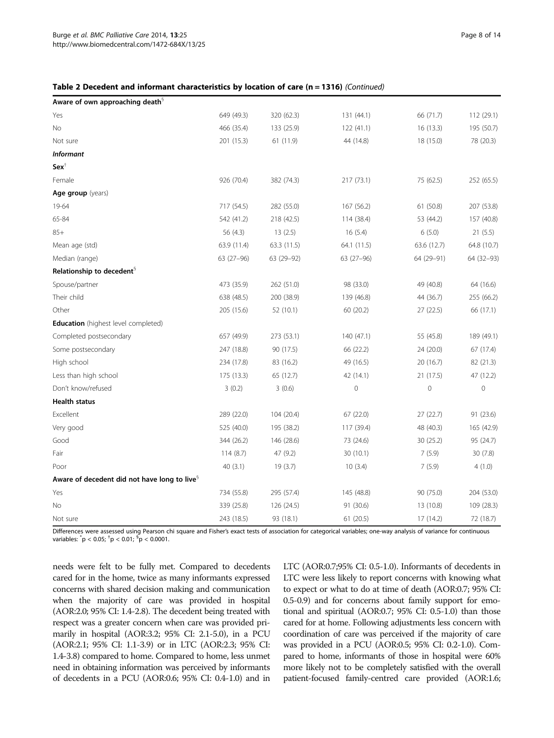#### Table 2 Decedent and informant characteristics by location of care (n = 1316) (Continued)

| Aware of own approaching death <sup>§</sup>              |             |             |             |             |             |
|----------------------------------------------------------|-------------|-------------|-------------|-------------|-------------|
| Yes                                                      | 649 (49.3)  | 320 (62.3)  | 131 (44.1)  | 66 (71.7)   | 112 (29.1)  |
| No                                                       | 466 (35.4)  | 133 (25.9)  | 122 (41.1)  | 16(13.3)    | 195 (50.7)  |
| Not sure                                                 | 201 (15.3)  | 61 (11.9)   | 44 (14.8)   | 18 (15.0)   | 78 (20.3)   |
| <b>Informant</b>                                         |             |             |             |             |             |
| $Sex^{\dagger}$                                          |             |             |             |             |             |
| Female                                                   | 926 (70.4)  | 382 (74.3)  | 217 (73.1)  | 75 (62.5)   | 252 (65.5)  |
| Age group (years)                                        |             |             |             |             |             |
| 19-64                                                    | 717 (54.5)  | 282 (55.0)  | 167 (56.2)  | 61 (50.8)   | 207 (53.8)  |
| 65-84                                                    | 542 (41.2)  | 218 (42.5)  | 114 (38.4)  | 53 (44.2)   | 157 (40.8)  |
| $85+$                                                    | 56 (4.3)    | 13(2.5)     | 16(5.4)     | 6(5.0)      | 21(5.5)     |
| Mean age (std)                                           | 63.9 (11.4) | 63.3 (11.5) | 64.1 (11.5) | 63.6 (12.7) | 64.8 (10.7) |
| Median (range)                                           | 63 (27-96)  | 63 (29-92)  | 63 (27-96)  | 64 (29-91)  | 64 (32-93)  |
| Relationship to decedent <sup>§</sup>                    |             |             |             |             |             |
| Spouse/partner                                           | 473 (35.9)  | 262 (51.0)  | 98 (33.0)   | 49 (40.8)   | 64 (16.6)   |
| Their child                                              | 638 (48.5)  | 200 (38.9)  | 139 (46.8)  | 44 (36.7)   | 255 (66.2)  |
| Other                                                    | 205 (15.6)  | 52 (10.1)   | 60 (20.2)   | 27(22.5)    | 66 (17.1)   |
| <b>Education</b> (highest level completed)               |             |             |             |             |             |
| Completed postsecondary                                  | 657 (49.9)  | 273 (53.1)  | 140 (47.1)  | 55 (45.8)   | 189 (49.1)  |
| Some postsecondary                                       | 247 (18.8)  | 90 (17.5)   | 66 (22.2)   | 24 (20.0)   | 67 (17.4)   |
| High school                                              | 234 (17.8)  | 83 (16.2)   | 49 (16.5)   | 20 (16.7)   | 82 (21.3)   |
| Less than high school                                    | 175 (13.3)  | 65 (12.7)   | 42 (14.1)   | 21 (17.5)   | 47 (12.2)   |
| Don't know/refused                                       | 3(0.2)      | 3(0.6)      | $\mathbf 0$ | $\mathbf 0$ | $\mathbf 0$ |
| <b>Health status</b>                                     |             |             |             |             |             |
| Excellent                                                | 289 (22.0)  | 104 (20.4)  | 67 (22.0)   | 27(22.7)    | 91 (23.6)   |
| Very good                                                | 525 (40.0)  | 195 (38.2)  | 117 (39.4)  | 48 (40.3)   | 165 (42.9)  |
| Good                                                     | 344 (26.2)  | 146 (28.6)  | 73 (24.6)   | 30 (25.2)   | 95 (24.7)   |
| Fair                                                     | 114(8.7)    | 47 (9.2)    | 30 (10.1)   | 7(5.9)      | 30(7.8)     |
| Poor                                                     | 40(3.1)     | 19 (3.7)    | 10(3.4)     | 7(5.9)      | 4(1.0)      |
| Aware of decedent did not have long to live <sup>5</sup> |             |             |             |             |             |
| Yes                                                      | 734 (55.8)  | 295 (57.4)  | 145 (48.8)  | 90 (75.0)   | 204 (53.0)  |
| No                                                       | 339 (25.8)  | 126 (24.5)  | 91 (30.6)   | 13 (10.8)   | 109 (28.3)  |
| Not sure                                                 | 243 (18.5)  | 93 (18.1)   | 61(20.5)    | 17 (14.2)   | 72 (18.7)   |

Differences were assessed using Pearson chi square and Fisher's exact tests of association for categorical variables; one-way analysis of variance for continuous variables:  $^{\ast} \mathrm{p} < 0.05; \,^{\dag} \mathrm{p} < 0.01; \,^{\bar{\text{S}}} \mathrm{p} < 0.0001.$ 

needs were felt to be fully met. Compared to decedents cared for in the home, twice as many informants expressed concerns with shared decision making and communication when the majority of care was provided in hospital (AOR:2.0; 95% CI: 1.4-2.8). The decedent being treated with respect was a greater concern when care was provided primarily in hospital (AOR:3.2; 95% CI: 2.1-5.0), in a PCU (AOR:2.1; 95% CI: 1.1-3.9) or in LTC (AOR:2.3; 95% CI: 1.4-3.8) compared to home. Compared to home, less unmet need in obtaining information was perceived by informants of decedents in a PCU (AOR:0.6; 95% CI: 0.4-1.0) and in LTC (AOR:0.7;95% CI: 0.5-1.0). Informants of decedents in LTC were less likely to report concerns with knowing what to expect or what to do at time of death (AOR:0.7; 95% CI: 0.5-0.9) and for concerns about family support for emotional and spiritual (AOR:0.7; 95% CI: 0.5-1.0) than those cared for at home. Following adjustments less concern with coordination of care was perceived if the majority of care was provided in a PCU (AOR:0.5; 95% CI: 0.2-1.0). Compared to home, informants of those in hospital were 60% more likely not to be completely satisfied with the overall patient-focused family-centred care provided (AOR:1.6;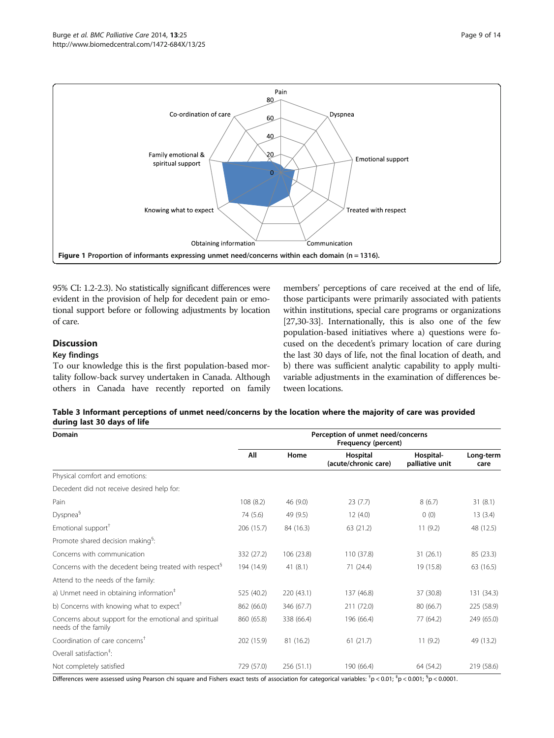<span id="page-8-0"></span>

95% CI: 1.2-2.3). No statistically significant differences were evident in the provision of help for decedent pain or emotional support before or following adjustments by location of care.

# Discussion

#### Key findings

To our knowledge this is the first population-based mortality follow-back survey undertaken in Canada. Although others in Canada have recently reported on family members' perceptions of care received at the end of life, those participants were primarily associated with patients within institutions, special care programs or organizations [[27](#page-12-0)[,30](#page-13-0)-[33](#page-13-0)]. Internationally, this is also one of the few population-based initiatives where a) questions were focused on the decedent's primary location of care during the last 30 days of life, not the final location of death, and b) there was sufficient analytic capability to apply multivariable adjustments in the examination of differences between locations.

| Table 3 Informant perceptions of unmet need/concerns by the location where the majority of care was provided |  |
|--------------------------------------------------------------------------------------------------------------|--|
| during last 30 days of life                                                                                  |  |

| Domain                                                                        | Perception of unmet need/concerns<br>Frequency (percent) |            |                                  |                              |                   |  |  |
|-------------------------------------------------------------------------------|----------------------------------------------------------|------------|----------------------------------|------------------------------|-------------------|--|--|
|                                                                               | All                                                      | Home       | Hospital<br>(acute/chronic care) | Hospital-<br>palliative unit | Long-term<br>care |  |  |
| Physical comfort and emotions:                                                |                                                          |            |                                  |                              |                   |  |  |
| Decedent did not receive desired help for:                                    |                                                          |            |                                  |                              |                   |  |  |
| Pain                                                                          | 108(8.2)                                                 | 46(9.0)    | 23(7.7)                          | 8(6.7)                       | 31(8.1)           |  |  |
| Dyspnea <sup>9</sup>                                                          | 74 (5.6)                                                 | 49 (9.5)   | 12(4.0)                          | 0(0)                         | 13(3.4)           |  |  |
| Emotional support <sup>†</sup>                                                | 206 (15.7)                                               | 84 (16.3)  | 63 (21.2)                        | 11(9.2)                      | 48 (12.5)         |  |  |
| Promote shared decision making <sup>5</sup> :                                 |                                                          |            |                                  |                              |                   |  |  |
| Concerns with communication                                                   | 332 (27.2)                                               | 106 (23.8) | 110 (37.8)                       | 31(26.1)                     | 85 (23.3)         |  |  |
| Concerns with the decedent being treated with respect <sup>8</sup>            | 194 (14.9)                                               | 41(8.1)    | 71(24.4)                         | 19 (15.8)                    | 63 (16.5)         |  |  |
| Attend to the needs of the family:                                            |                                                          |            |                                  |                              |                   |  |  |
| a) Unmet need in obtaining information $+$                                    | 525 (40.2)                                               | 220(43.1)  | 137 (46.8)                       | 37 (30.8)                    | 131 (34.3)        |  |  |
| b) Concerns with knowing what to expect <sup>†</sup>                          | 862 (66.0)                                               | 346 (67.7) | 211 (72.0)                       | 80 (66.7)                    | 225 (58.9)        |  |  |
| Concerns about support for the emotional and spiritual<br>needs of the family | 860 (65.8)                                               | 338 (66.4) | 196 (66.4)                       | 77 (64.2)                    | 249 (65.0)        |  |  |
| Coordination of care concerns <sup>†</sup>                                    | 202 (15.9)                                               | 81 (16.2)  | 61(21.7)                         | 11(9.2)                      | 49 (13.2)         |  |  |
| Overall satisfaction <sup>#</sup> :                                           |                                                          |            |                                  |                              |                   |  |  |
| Not completely satisfied                                                      | 729 (57.0)                                               | 256 (51.1) | 190 (66.4)                       | 64 (54.2)                    | 219 (58.6)        |  |  |

Differences were assessed using Pearson chi square and Fishers exact tests of association for categorical variables:  $^{\dagger}$ p < 0.01,  $^{\dagger}$ p < 0.001,  $^{\dagger}$ p < 0.0001.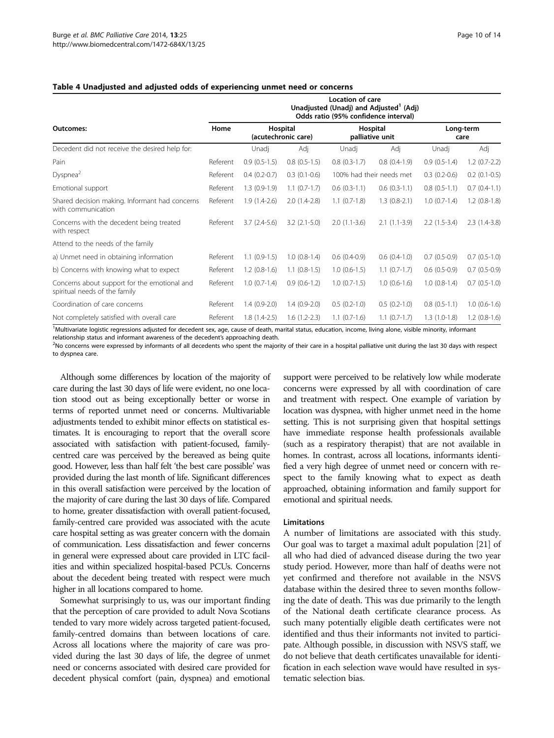|                                                                               | <b>Location of care</b><br>Unadjusted (Unadj) and Adjusted <sup>1</sup> (Adj)<br>Odds ratio (95% confidence interval) |                                 |                     |                             |                |                   |                 |
|-------------------------------------------------------------------------------|-----------------------------------------------------------------------------------------------------------------------|---------------------------------|---------------------|-----------------------------|----------------|-------------------|-----------------|
| <b>Outcomes:</b>                                                              | Home                                                                                                                  | Hospital<br>(acutechronic care) |                     | Hospital<br>palliative unit |                | Long-term<br>care |                 |
| Decedent did not receive the desired help for:                                |                                                                                                                       | Unadj                           | Adj                 | Unadj                       | Adj            | Unadi             | Adj             |
| Pain                                                                          | Referent                                                                                                              | $0.9(0.5-1.5)$                  | $0.8(0.5-1.5)$      | $0.8(0.3-1.7)$              | $0.8(0.4-1.9)$ | $0.9(0.5-1.4)$    | $1.2(0.7-2.2)$  |
| Dyspnea <sup>2</sup>                                                          | Referent                                                                                                              | $0.4(0.2-0.7)$                  | $0.3(0.1-0.6)$      | 100% had their needs met    |                | $0.3(0.2-0.6)$    | $0.2$ (0.1-0.5) |
| Emotional support                                                             | Referent                                                                                                              | $1.3(0.9-1.9)$                  | $1.1(0.7-1.7)$      | $0.6(0.3-1.1)$              | $0.6(0.3-1.1)$ | $0.8(0.5-1.1)$    | $0.7(0.4-1.1)$  |
| Shared decision making. Informant had concerns<br>with communication          | Referent                                                                                                              | $1.9(1.4-2.6)$                  | $2.0(1.4-2.8)$      | $1.1$ (0.7-1.8)             | $1.3(0.8-2.1)$ | $1.0(0.7-1.4)$    | $1.2(0.8-1.8)$  |
| Concerns with the decedent being treated<br>with respect                      | Referent                                                                                                              | $3.7(2.4-5.6)$                  | $3.2$ $(2.1 - 5.0)$ | $2.0(1.1-3.6)$              | $2.1(1.1-3.9)$ | $2.2(1.5-3.4)$    | $2.3(1.4-3.8)$  |
| Attend to the needs of the family                                             |                                                                                                                       |                                 |                     |                             |                |                   |                 |
| a) Unmet need in obtaining information                                        | Referent                                                                                                              | $1.1(0.9-1.5)$                  | $1.0(0.8-1.4)$      | $0.6(0.4-0.9)$              | $0.6(0.4-1.0)$ | $0.7(0.5-0.9)$    | $0.7(0.5-1.0)$  |
| b) Concerns with knowing what to expect                                       | Referent                                                                                                              | $1.2(0.8-1.6)$                  | $1.1(0.8-1.5)$      | $1.0(0.6-1.5)$              | $1.1(0.7-1.7)$ | $0.6(0.5-0.9)$    | $0.7(0.5-0.9)$  |
| Concerns about support for the emotional and<br>spiritual needs of the family | Referent                                                                                                              | $1.0(0.7-1.4)$                  | $0.9(0.6-1.2)$      | $1.0(0.7-1.5)$              | $1.0(0.6-1.6)$ | $1.0(0.8-1.4)$    | $0.7(0.5-1.0)$  |
| Coordination of care concerns                                                 | Referent                                                                                                              | $1.4(0.9-2.0)$                  | $1.4(0.9-2.0)$      | $0.5(0.2-1.0)$              | $0.5(0.2-1.0)$ | $0.8(0.5-1.1)$    | $1.0(0.6-1.6)$  |
| Not completely satisfied with overall care                                    | Referent                                                                                                              | $1.8(1.4-2.5)$                  | $1.6(1.2-2.3)$      | $1.1(0.7-1.6)$              | $1.1(0.7-1.7)$ | $1.3(1.0-1.8)$    | $1.2$ (0.8-1.6) |

#### <span id="page-9-0"></span>Table 4 Unadjusted and adjusted odds of experiencing unmet need or concerns

1 Multivariate logistic regressions adjusted for decedent sex, age, cause of death, marital status, education, income, living alone, visible minority, informant

relationship status and informant awareness of the decedent's approaching death. <sup>2</sup>

<sup>2</sup>No concerns were expressed by informants of all decedents who spent the majority of their care in a hospital palliative unit during the last 30 days with respect to dyspnea care.

Although some differences by location of the majority of care during the last 30 days of life were evident, no one location stood out as being exceptionally better or worse in terms of reported unmet need or concerns. Multivariable adjustments tended to exhibit minor effects on statistical estimates. It is encouraging to report that the overall score associated with satisfaction with patient-focused, familycentred care was perceived by the bereaved as being quite good. However, less than half felt 'the best care possible' was provided during the last month of life. Significant differences in this overall satisfaction were perceived by the location of the majority of care during the last 30 days of life. Compared to home, greater dissatisfaction with overall patient-focused, family-centred care provided was associated with the acute care hospital setting as was greater concern with the domain of communication. Less dissatisfaction and fewer concerns in general were expressed about care provided in LTC facilities and within specialized hospital-based PCUs. Concerns about the decedent being treated with respect were much higher in all locations compared to home.

Somewhat surprisingly to us, was our important finding that the perception of care provided to adult Nova Scotians tended to vary more widely across targeted patient-focused, family-centred domains than between locations of care. Across all locations where the majority of care was provided during the last 30 days of life, the degree of unmet need or concerns associated with desired care provided for decedent physical comfort (pain, dyspnea) and emotional

support were perceived to be relatively low while moderate concerns were expressed by all with coordination of care and treatment with respect. One example of variation by location was dyspnea, with higher unmet need in the home setting. This is not surprising given that hospital settings have immediate response health professionals available (such as a respiratory therapist) that are not available in homes. In contrast, across all locations, informants identified a very high degree of unmet need or concern with respect to the family knowing what to expect as death approached, obtaining information and family support for emotional and spiritual needs.

#### Limitations

A number of limitations are associated with this study. Our goal was to target a maximal adult population [\[21\]](#page-12-0) of all who had died of advanced disease during the two year study period. However, more than half of deaths were not yet confirmed and therefore not available in the NSVS database within the desired three to seven months following the date of death. This was due primarily to the length of the National death certificate clearance process. As such many potentially eligible death certificates were not identified and thus their informants not invited to participate. Although possible, in discussion with NSVS staff, we do not believe that death certificates unavailable for identification in each selection wave would have resulted in systematic selection bias.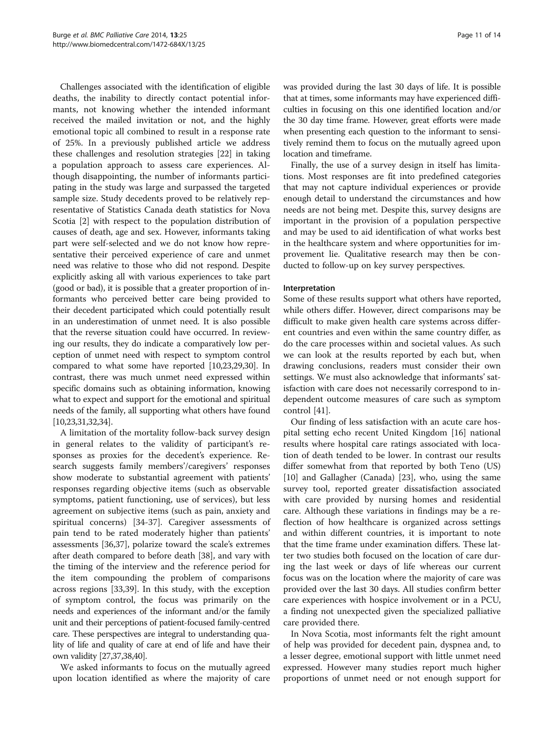Challenges associated with the identification of eligible deaths, the inability to directly contact potential informants, not knowing whether the intended informant received the mailed invitation or not, and the highly emotional topic all combined to result in a response rate of 25%. In a previously published article we address these challenges and resolution strategies [[22](#page-12-0)] in taking a population approach to assess care experiences. Although disappointing, the number of informants participating in the study was large and surpassed the targeted sample size. Study decedents proved to be relatively representative of Statistics Canada death statistics for Nova Scotia [\[2](#page-12-0)] with respect to the population distribution of causes of death, age and sex. However, informants taking part were self-selected and we do not know how representative their perceived experience of care and unmet need was relative to those who did not respond. Despite explicitly asking all with various experiences to take part (good or bad), it is possible that a greater proportion of informants who perceived better care being provided to their decedent participated which could potentially result in an underestimation of unmet need. It is also possible that the reverse situation could have occurred. In reviewing our results, they do indicate a comparatively low perception of unmet need with respect to symptom control compared to what some have reported [[10,23,29,](#page-12-0)[30](#page-13-0)]. In contrast, there was much unmet need expressed within specific domains such as obtaining information, knowing what to expect and support for the emotional and spiritual needs of the family, all supporting what others have found [[10,23](#page-12-0)[,31,32,34](#page-13-0)].

A limitation of the mortality follow-back survey design in general relates to the validity of participant's responses as proxies for the decedent's experience. Research suggests family members'/caregivers' responses show moderate to substantial agreement with patients' responses regarding objective items (such as observable symptoms, patient functioning, use of services), but less agreement on subjective items (such as pain, anxiety and spiritual concerns) [\[34-37](#page-13-0)]. Caregiver assessments of pain tend to be rated moderately higher than patients' assessments [\[36,37\]](#page-13-0), polarize toward the scale's extremes after death compared to before death [\[38](#page-13-0)], and vary with the timing of the interview and the reference period for the item compounding the problem of comparisons across regions [\[33,39](#page-13-0)]. In this study, with the exception of symptom control, the focus was primarily on the needs and experiences of the informant and/or the family unit and their perceptions of patient-focused family-centred care. These perspectives are integral to understanding quality of life and quality of care at end of life and have their own validity [[27](#page-12-0)[,37,38,40](#page-13-0)].

We asked informants to focus on the mutually agreed upon location identified as where the majority of care

was provided during the last 30 days of life. It is possible that at times, some informants may have experienced difficulties in focusing on this one identified location and/or the 30 day time frame. However, great efforts were made when presenting each question to the informant to sensitively remind them to focus on the mutually agreed upon location and timeframe.

Finally, the use of a survey design in itself has limitations. Most responses are fit into predefined categories that may not capture individual experiences or provide enough detail to understand the circumstances and how needs are not being met. Despite this, survey designs are important in the provision of a population perspective and may be used to aid identification of what works best in the healthcare system and where opportunities for improvement lie. Qualitative research may then be conducted to follow-up on key survey perspectives.

#### Interpretation

Some of these results support what others have reported, while others differ. However, direct comparisons may be difficult to make given health care systems across different countries and even within the same country differ, as do the care processes within and societal values. As such we can look at the results reported by each but, when drawing conclusions, readers must consider their own settings. We must also acknowledge that informants' satisfaction with care does not necessarily correspond to independent outcome measures of care such as symptom control [\[41](#page-13-0)].

Our finding of less satisfaction with an acute care hospital setting echo recent United Kingdom [\[16](#page-12-0)] national results where hospital care ratings associated with location of death tended to be lower. In contrast our results differ somewhat from that reported by both Teno (US) [[10\]](#page-12-0) and Gallagher (Canada) [[23\]](#page-12-0), who, using the same survey tool, reported greater dissatisfaction associated with care provided by nursing homes and residential care. Although these variations in findings may be a reflection of how healthcare is organized across settings and within different countries, it is important to note that the time frame under examination differs. These latter two studies both focused on the location of care during the last week or days of life whereas our current focus was on the location where the majority of care was provided over the last 30 days. All studies confirm better care experiences with hospice involvement or in a PCU, a finding not unexpected given the specialized palliative care provided there.

In Nova Scotia, most informants felt the right amount of help was provided for decedent pain, dyspnea and, to a lesser degree, emotional support with little unmet need expressed. However many studies report much higher proportions of unmet need or not enough support for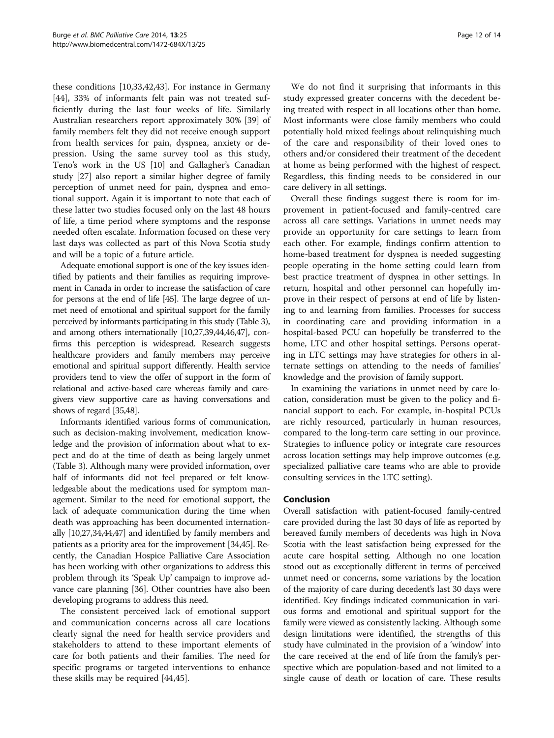these conditions [\[10](#page-12-0)[,33,42,43\]](#page-13-0). For instance in Germany [[44\]](#page-13-0), 33% of informants felt pain was not treated sufficiently during the last four weeks of life. Similarly Australian researchers report approximately 30% [[39\]](#page-13-0) of family members felt they did not receive enough support from health services for pain, dyspnea, anxiety or depression. Using the same survey tool as this study, Teno's work in the US [[10\]](#page-12-0) and Gallagher's Canadian study [[27\]](#page-12-0) also report a similar higher degree of family perception of unmet need for pain, dyspnea and emotional support. Again it is important to note that each of these latter two studies focused only on the last 48 hours of life, a time period where symptoms and the response needed often escalate. Information focused on these very last days was collected as part of this Nova Scotia study and will be a topic of a future article.

Adequate emotional support is one of the key issues identified by patients and their families as requiring improvement in Canada in order to increase the satisfaction of care for persons at the end of life [[45](#page-13-0)]. The large degree of unmet need of emotional and spiritual support for the family perceived by informants participating in this study (Table [3](#page-8-0)), and among others internationally [\[10,27](#page-12-0)[,39,44,46,47\]](#page-13-0), confirms this perception is widespread. Research suggests healthcare providers and family members may perceive emotional and spiritual support differently. Health service providers tend to view the offer of support in the form of relational and active-based care whereas family and caregivers view supportive care as having conversations and shows of regard [\[35,48\]](#page-13-0).

Informants identified various forms of communication, such as decision-making involvement, medication knowledge and the provision of information about what to expect and do at the time of death as being largely unmet (Table [3](#page-8-0)). Although many were provided information, over half of informants did not feel prepared or felt knowledgeable about the medications used for symptom management. Similar to the need for emotional support, the lack of adequate communication during the time when death was approaching has been documented internationally [\[10,27](#page-12-0)[,34,44,47](#page-13-0)] and identified by family members and patients as a priority area for the improvement [[34,45](#page-13-0)]. Recently, the Canadian Hospice Palliative Care Association has been working with other organizations to address this problem through its 'Speak Up' campaign to improve advance care planning [[36](#page-13-0)]. Other countries have also been developing programs to address this need.

The consistent perceived lack of emotional support and communication concerns across all care locations clearly signal the need for health service providers and stakeholders to attend to these important elements of care for both patients and their families. The need for specific programs or targeted interventions to enhance these skills may be required [[44,45](#page-13-0)].

We do not find it surprising that informants in this study expressed greater concerns with the decedent being treated with respect in all locations other than home. Most informants were close family members who could potentially hold mixed feelings about relinquishing much of the care and responsibility of their loved ones to others and/or considered their treatment of the decedent at home as being performed with the highest of respect. Regardless, this finding needs to be considered in our care delivery in all settings.

Overall these findings suggest there is room for improvement in patient-focused and family-centred care across all care settings. Variations in unmet needs may provide an opportunity for care settings to learn from each other. For example, findings confirm attention to home-based treatment for dyspnea is needed suggesting people operating in the home setting could learn from best practice treatment of dyspnea in other settings. In return, hospital and other personnel can hopefully improve in their respect of persons at end of life by listening to and learning from families. Processes for success in coordinating care and providing information in a hospital-based PCU can hopefully be transferred to the home, LTC and other hospital settings. Persons operating in LTC settings may have strategies for others in alternate settings on attending to the needs of families' knowledge and the provision of family support.

In examining the variations in unmet need by care location, consideration must be given to the policy and financial support to each. For example, in-hospital PCUs are richly resourced, particularly in human resources, compared to the long-term care setting in our province. Strategies to influence policy or integrate care resources across location settings may help improve outcomes (e.g. specialized palliative care teams who are able to provide consulting services in the LTC setting).

#### Conclusion

Overall satisfaction with patient-focused family-centred care provided during the last 30 days of life as reported by bereaved family members of decedents was high in Nova Scotia with the least satisfaction being expressed for the acute care hospital setting. Although no one location stood out as exceptionally different in terms of perceived unmet need or concerns, some variations by the location of the majority of care during decedent's last 30 days were identified. Key findings indicated communication in various forms and emotional and spiritual support for the family were viewed as consistently lacking. Although some design limitations were identified, the strengths of this study have culminated in the provision of a 'window' into the care received at the end of life from the family's perspective which are population-based and not limited to a single cause of death or location of care. These results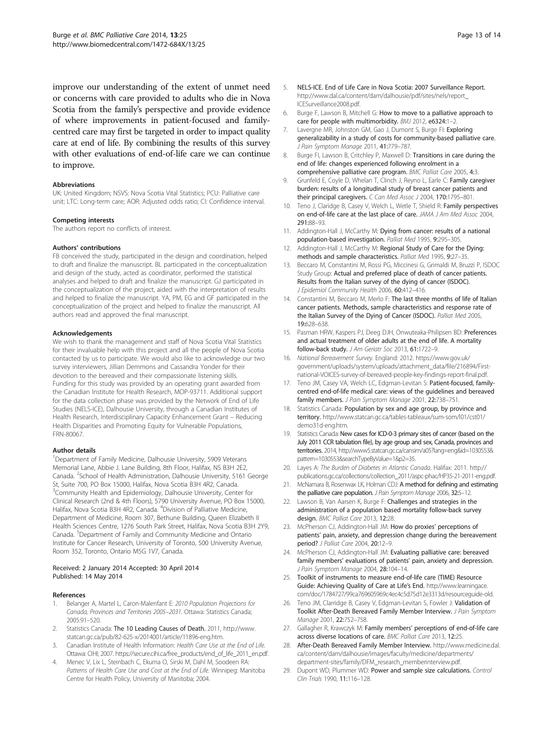<span id="page-12-0"></span>improve our understanding of the extent of unmet need or concerns with care provided to adults who die in Nova Scotia from the family's perspective and provide evidence of where improvements in patient-focused and familycentred care may first be targeted in order to impact quality care at end of life. By combining the results of this survey with other evaluations of end-of-life care we can continue to improve.

#### Abbreviations

UK: United Kingdom; NSVS: Nova Scotia Vital Statistics; PCU: Palliative care unit; LTC: Long-term care; AOR: Adjusted odds ratio; CI: Confidence interval.

#### Competing interests

The authors report no conflicts of interest.

#### Authors' contributions

FB conceived the study, participated in the design and coordination, helped to draft and finalize the manuscript. BL participated in the conceptualization and design of the study, acted as coordinator, performed the statistical analyses and helped to draft and finalize the manuscript. GJ participated in the conceptualization of the project, aided with the interpretation of results and helped to finalize the manuscript. YA, PM, EG and GF participated in the conceptualization of the project and helped to finalize the manuscript. All authors read and approved the final manuscript.

#### Acknowledgements

We wish to thank the management and staff of Nova Scotia Vital Statistics for their invaluable help with this project and all the people of Nova Scotia contacted by us to participate. We would also like to acknowledge our two survey interviewers, Jillian Demmons and Cassandra Yonder for their devotion to the bereaved and their compassionate listening skills. Funding for this study was provided by an operating grant awarded from the Canadian Institute for Health Research, MOP-93711. Additional support for the data collection phase was provided by the Network of End of Life Studies (NELS-ICE), Dalhousie University, through a Canadian Institutes of Health Research, Interdisciplinary Capacity Enhancement Grant – Reducing Health Disparities and Promoting Equity for Vulnerable Populations, FRN-80067.

#### Author details

<sup>1</sup>Department of Family Medicine, Dalhousie University, 5909 Veterans Memorial Lane, Abbie J. Lane Building, 8th Floor, Halifax, NS B3H 2E2, Canada. <sup>2</sup> School of Health Administration, Dalhousie University, 5161 George St, Suite 700, PO Box 15000, Halifax, Nova Scotia B3H 4R2, Canada. <sup>3</sup>Community Health and Epidemiology, Dalhousie University, Center for Clinical Research (2nd & 4th Floors), 5790 University Avenue, PO Box 15000, Halifax, Nova Scotia B3H 4R2, Canada. <sup>4</sup>Division of Palliative Medicine, Department of Medicine, Room 307, Bethune Building, Queen Elizabeth II Health Sciences Centre, 1276 South Park Street, Halifax, Nova Scotia B3H 2Y9, Canada. <sup>5</sup>Department of Family and Community Medicine and Ontario Institute for Cancer Research, University of Toronto, 500 University Avenue, Room 352, Toronto, Ontario M5G 1V7, Canada.

#### Received: 2 January 2014 Accepted: 30 April 2014 Published: 14 May 2014

#### References

- Belanger A, Martel L, Caron-Malenfant E: 2010 Population Projections for Canada, Provinces and Territories 2005–2031. Ottawa: Statistics Canada; 2005:91–520.
- 2. Statistics Canada: The 10 Leading Causes of Death. 2011, [http://www.](http://www.statcan.gc.ca/pub/82-625-x/2014001/article/11896-eng.htm) [statcan.gc.ca/pub/82-625-x/2014001/article/11896-eng.htm](http://www.statcan.gc.ca/pub/82-625-x/2014001/article/11896-eng.htm).
- 3. Canadian Institute of Health Information: Health Care Use at the End of Life. Ottawa: CIHI; 2007. [https://secure.cihi.ca/free\\_products/end\\_of\\_life\\_2011\\_en.pdf.](https://secure.cihi.ca/free_products/end_of_life_2011_en.pdf)
- 4. Menec V, Lix L, Steinbach C, Ekuma O, Sirski M, Dahl M, Soodeen RA: Patterns of Health Care Use and Cost at the End of Life. Winnipeg: Manitoba Centre for Health Policy, University of Manitoba; 2004.
- 5. NELS-ICE. End of Life Care in Nova Scotia: 2007 Surveillance Report. [http://www.dal.ca/content/dam/dalhousie/pdf/sites/nels/report\\_](http://www.dal.ca/content/dam/dalhousie/pdf/sites/nels/report_ICESurveillance2008.pdf) [ICESurveillance2008.pdf](http://www.dal.ca/content/dam/dalhousie/pdf/sites/nels/report_ICESurveillance2008.pdf).
- 6. Burge F, Lawson B, Mitchell G: How to move to a palliative approach to care for people with multimorbidity. BMJ 2012, e6324:1–2.
- 7. Lavergne MR, Johnston GM, Gao J, Dumont S, Burge Fl: Exploring generalizability in a study of costs for community-based palliative care. J Pain Symptom Manage 2011, 41:779–787.
- 8. Burge FI, Lawson B, Critchley P, Maxwell D: Transitions in care during the end of life: changes experienced following enrolment in a comprehensive palliative care program. BMC Palliat Care 2005, 4:3.
- 9. Grunfeld E, Coyle D, Whelan T, Clinch J, Reyno L, Earle C: Family caregiver burden: results of a longitudinal study of breast cancer patients and their principal caregivers. C Can Med Assoc J 2004, 170:1795-801.
- 10. Teno J, Claridge B, Casey V, Welch L, Wetle T, Shield R: Family perspectives on end-of-life care at the last place of care. JAMA J Am Med Assoc 2004, 291:88–93.
- 11. Addington-Hall J, McCarthy M: Dying from cancer: results of a national population-based investigation. Palliat Med 1995, 9:295–305.
- 12. Addington-Hall J, McCarthy M: Regional Study of Care for the Dying: methods and sample characteristics. Palliat Med 1995, 9:27–35.
- 13. Beccaro M, Constantini M, Rossi PG, Miccinesi G, Grimaldi M, Bruzzi P, ISDOC Study Group: Actual and preferred place of death of cancer patients. Results from the Italian survey of the dying of cancer (ISDOC). J Epidemiol Community Health 2006, 60:412-416.
- 14. Constantini M, Beccaro M, Merlo F: The last three months of life of Italian cancer patients. Methods, sample characteristics and response rate of the Italian Survey of the Dying of Cancer (ISDOC). Palliat Med 2005, 19:628–638.
- 15. Pasman HRW, Kaspers PJ, Deeg DJH, Onwuteaka-Philipsen BD: Preferences and actual treatment of older adults at the end of life. A mortality follow-back study. J Am Geriatr Soc 2013, 61:1722–9.
- 16. National Bereavement Survey. England: 2012. [https://www.gov.uk/](https://www.gov.uk/government/uploads/system/uploads/attachment_data/file/216894/First-national-VOICES-survey-of-bereaved-people-key-findings-report-final.pdf) [government/uploads/system/uploads/attachment\\_data/file/216894/First](https://www.gov.uk/government/uploads/system/uploads/attachment_data/file/216894/First-national-VOICES-survey-of-bereaved-people-key-findings-report-final.pdf)[national-VOICES-survey-of-bereaved-people-key-findings-report-final.pdf.](https://www.gov.uk/government/uploads/system/uploads/attachment_data/file/216894/First-national-VOICES-survey-of-bereaved-people-key-findings-report-final.pdf)
- 17. Teno JM, Casey VA, Welch LC, Edgman-Levitan S: Patient-focused, familycentred end-of-life medical care: views of the guidelines and bereaved family members. J Pain Symptom Manage 2001, 22:738-751.
- 18. Statistics Canada: Population by sex and age group, by province and territory. [http://www.statcan.gc.ca/tables-tableaux/sum-som/l01/cst01/](http://www.statcan.gc.ca/tables-tableaux/sum-som/l01/cst01/demo31d-eng.htm) [demo31d-eng.htm](http://www.statcan.gc.ca/tables-tableaux/sum-som/l01/cst01/demo31d-eng.htm).
- 19. Statistics Canada: New cases for ICD-0-3 primary sites of cancer (based on the July 2011 CCR tabulation file), by age group and sex, Canada, provinces and territories. 2014, [http://www5.statcan.gc.ca/cansim/a05?lang=eng&id=1030553&](http://www5.statcan.gc.ca/cansim/a05?lang=eng&id=1030553&pattern=1030553&searchTypeByValue=1&p2=35) [pattern=1030553&searchTypeByValue=1&p2=35.](http://www5.statcan.gc.ca/cansim/a05?lang=eng&id=1030553&pattern=1030553&searchTypeByValue=1&p2=35)
- 20. Layes A: The Burden of Diabetes in Atlantic Canada. Halifax: 2011. [http://](http://publications.gc.ca/collections/collection_2011/aspc-phac/HP35-21-2011-eng.pdf) [publications.gc.ca/collections/collection\\_2011/aspc-phac/HP35-21-2011-eng.pdf](http://publications.gc.ca/collections/collection_2011/aspc-phac/HP35-21-2011-eng.pdf).
- 21. McNamara B, Rosenwax LK, Holman CDJ: A method for defining and estimating the palliative care population. J Pain Symptom Manage 2006, 32:5-12.
- 22. Lawson B, Van Aarsen K, Burge F: Challenges and strategies in the administration of a population based mortality follow-back survey design. BMC Palliat Care 2013, 12:28.
- 23. McPherson CJ, Addington-Hall JM: How do proxies' perceptions of patients' pain, anxiety, and depression change during the bereavement period? J Palliat Care 2004, 20:12–9.
- 24. McPherson CJ, Addington-Hall JM: Evaluating palliative care: bereaved family members' evaluations of patients' pain, anxiety and depression. J Pain Symptom Manage 2004, 28:104-14.
- 25. Toolkit of instruments to measure end-of-life care (TIME) Resource Guide: Achieving Quality of Care at Life's End. [http://www.learningace.](http://www.learningace.com/doc/1784727/99ca769605969c4ec4c5d75d12e3313d/resourceguide-old) [com/doc/1784727/99ca769605969c4ec4c5d75d12e3313d/resourceguide-old.](http://www.learningace.com/doc/1784727/99ca769605969c4ec4c5d75d12e3313d/resourceguide-old)
- 26. Teno JM, Clarridge B, Casey V, Edgman-Levitan S, Fowler J: Validation of Toolkit After-Death Bereaved Family Member Interview. J Pain Symptom Manage 2001, 22:752–758.
- 27. Gallagher R, Krawczyk M: Family members' perceptions of end-of-life care across diverse locations of care. BMC Palliat Care 2013, 12:25.
- 28. After-Death Bereaved Family Member Interview. [http://www.medicine.dal.](http://www.medicine.dal.ca/content/dam/dalhousie/images/faculty/medicine/departments/department-sites/family/DFM_research_memberinterview.pdf) [ca/content/dam/dalhousie/images/faculty/medicine/departments/](http://www.medicine.dal.ca/content/dam/dalhousie/images/faculty/medicine/departments/department-sites/family/DFM_research_memberinterview.pdf) [department-sites/family/DFM\\_research\\_memberinterview.pdf.](http://www.medicine.dal.ca/content/dam/dalhousie/images/faculty/medicine/departments/department-sites/family/DFM_research_memberinterview.pdf)
- 29. Dupont WD, Plummer WD: Power and sample size calculations. Control Clin Trials 1990, 11:116–128.